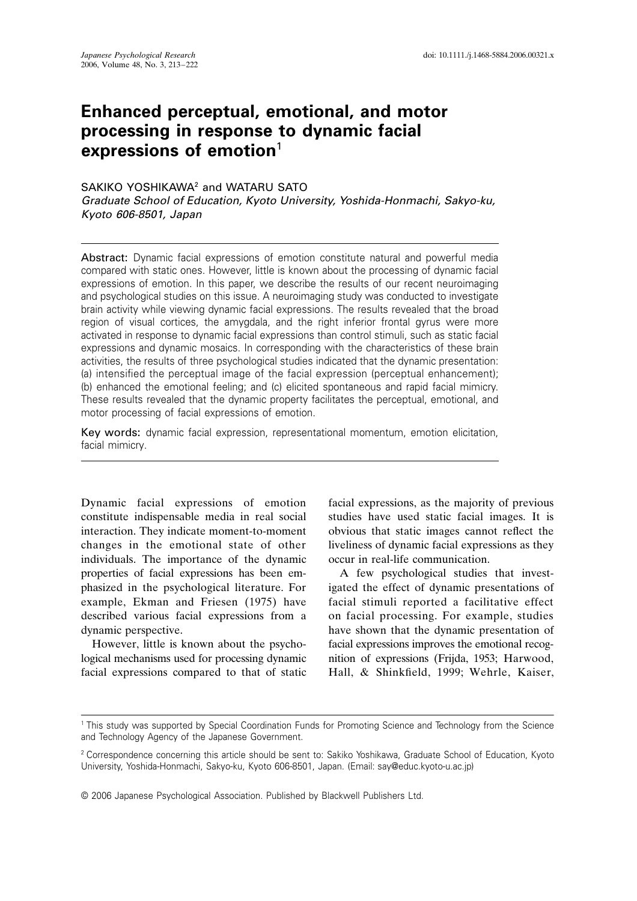# **Enhanced perceptual, emotional, and motor processing in response to dynamic facial expressions of emotion**<sup>1</sup>

# SAKIKO YOSHIKAWA<sup>2</sup> and WATARU SATO

*Graduate School of Education, Kyoto University, Yoshida-Honmachi, Sakyo-ku, Kyoto 606-8501, Japan* 

Abstract: Dynamic facial expressions of emotion constitute natural and powerful media compared with static ones. However, little is known about the processing of dynamic facial expressions of emotion. In this paper, we describe the results of our recent neuroimaging and psychological studies on this issue. A neuroimaging study was conducted to investigate brain activity while viewing dynamic facial expressions. The results revealed that the broad region of visual cortices, the amygdala, and the right inferior frontal gyrus were more activated in response to dynamic facial expressions than control stimuli, such as static facial expressions and dynamic mosaics. In corresponding with the characteristics of these brain activities, the results of three psychological studies indicated that the dynamic presentation: (a) intensified the perceptual image of the facial expression (perceptual enhancement); (b) enhanced the emotional feeling; and (c) elicited spontaneous and rapid facial mimicry. These results revealed that the dynamic property facilitates the perceptual, emotional, and motor processing of facial expressions of emotion.

Key words: dynamic facial expression, representational momentum, emotion elicitation, facial mimicry.

Dynamic facial expressions of emotion constitute indispensable media in real social interaction. They indicate moment-to-moment changes in the emotional state of other individuals. The importance of the dynamic properties of facial expressions has been emphasized in the psychological literature. For example, Ekman and Friesen (1975) have described various facial expressions from a dynamic perspective.

However, little is known about the psychological mechanisms used for processing dynamic facial expressions compared to that of static facial expressions, as the majority of previous studies have used static facial images. It is obvious that static images cannot reflect the liveliness of dynamic facial expressions as they occur in real-life communication.

A few psychological studies that investigated the effect of dynamic presentations of facial stimuli reported a facilitative effect on facial processing. For example, studies have shown that the dynamic presentation of facial expressions improves the emotional recognition of expressions (Frijda, 1953; Harwood, Hall, & Shinkfield, 1999; Wehrle, Kaiser,

<sup>1</sup> This study was supported by Special Coordination Funds for Promoting Science and Technology from the Science and Technology Agency of the Japanese Government.

<sup>2</sup> Correspondence concerning this article should be sent to: Sakiko Yoshikawa, Graduate School of Education, Kyoto University, Yoshida-Honmachi, Sakyo-ku, Kyoto 606-8501, Japan. (Email: say@educ.kyoto-u.ac.jp)

<sup>© 2006</sup> Japanese Psychological Association. Published by Blackwell Publishers Ltd.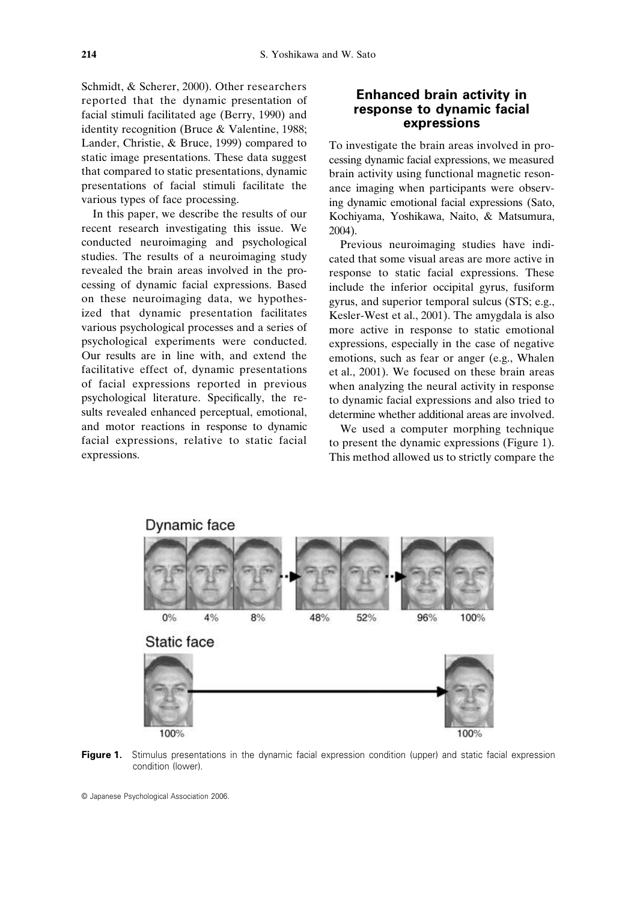Schmidt, & Scherer, 2000). Other researchers reported that the dynamic presentation of facial stimuli facilitated age (Berry, 1990) and identity recognition (Bruce & Valentine, 1988; Lander, Christie, & Bruce, 1999) compared to static image presentations. These data suggest that compared to static presentations, dynamic presentations of facial stimuli facilitate the various types of face processing.

In this paper, we describe the results of our recent research investigating this issue. We conducted neuroimaging and psychological studies. The results of a neuroimaging study revealed the brain areas involved in the processing of dynamic facial expressions. Based on these neuroimaging data, we hypothesized that dynamic presentation facilitates various psychological processes and a series of psychological experiments were conducted. Our results are in line with, and extend the facilitative effect of, dynamic presentations of facial expressions reported in previous psychological literature. Specifically, the results revealed enhanced perceptual, emotional, and motor reactions in response to dynamic facial expressions, relative to static facial expressions.

### **Enhanced brain activity in response to dynamic facial expressions**

To investigate the brain areas involved in processing dynamic facial expressions, we measured brain activity using functional magnetic resonance imaging when participants were observing dynamic emotional facial expressions (Sato, Kochiyama, Yoshikawa, Naito, & Matsumura, 2004).

Previous neuroimaging studies have indicated that some visual areas are more active in response to static facial expressions. These include the inferior occipital gyrus, fusiform gyrus, and superior temporal sulcus (STS; e.g., Kesler-West et al., 2001). The amygdala is also more active in response to static emotional expressions, especially in the case of negative emotions, such as fear or anger (e.g., Whalen et al., 2001). We focused on these brain areas when analyzing the neural activity in response to dynamic facial expressions and also tried to determine whether additional areas are involved.

We used a computer morphing technique to present the dynamic expressions (Figure 1). This method allowed us to strictly compare the



Figure 1. Stimulus presentations in the dynamic facial expression condition (upper) and static facial expression condition (lower).

<sup>©</sup> Japanese Psychological Association 2006.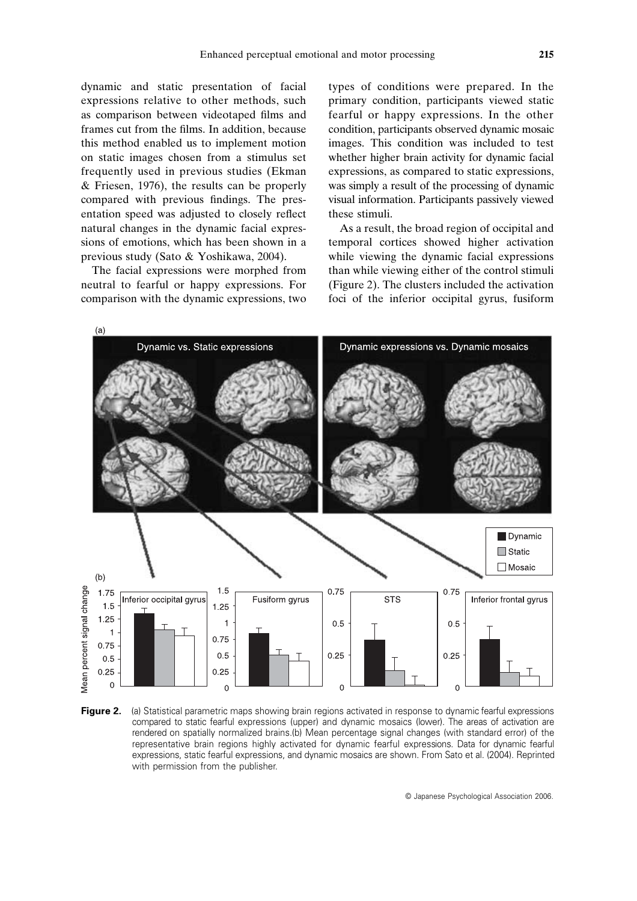dynamic and static presentation of facial expressions relative to other methods, such as comparison between videotaped films and frames cut from the films. In addition, because this method enabled us to implement motion on static images chosen from a stimulus set frequently used in previous studies (Ekman & Friesen, 1976), the results can be properly compared with previous findings. The presentation speed was adjusted to closely reflect natural changes in the dynamic facial expressions of emotions, which has been shown in a previous study (Sato & Yoshikawa, 2004).

The facial expressions were morphed from neutral to fearful or happy expressions. For comparison with the dynamic expressions, two types of conditions were prepared. In the primary condition, participants viewed static fearful or happy expressions. In the other condition, participants observed dynamic mosaic images. This condition was included to test whether higher brain activity for dynamic facial expressions, as compared to static expressions, was simply a result of the processing of dynamic visual information. Participants passively viewed these stimuli.

As a result, the broad region of occipital and temporal cortices showed higher activation while viewing the dynamic facial expressions than while viewing either of the control stimuli (Figure 2). The clusters included the activation foci of the inferior occipital gyrus, fusiform



**Figure 2.** (a) Statistical parametric maps showing brain regions activated in response to dynamic fearful expressions compared to static fearful expressions (upper) and dynamic mosaics (lower). The areas of activation are rendered on spatially normalized brains.(b) Mean percentage signal changes (with standard error) of the representative brain regions highly activated for dynamic fearful expressions. Data for dynamic fearful expressions, static fearful expressions, and dynamic mosaics are shown. From Sato et al. (2004). Reprinted with permission from the publisher.

© Japanese Psychological Association 2006.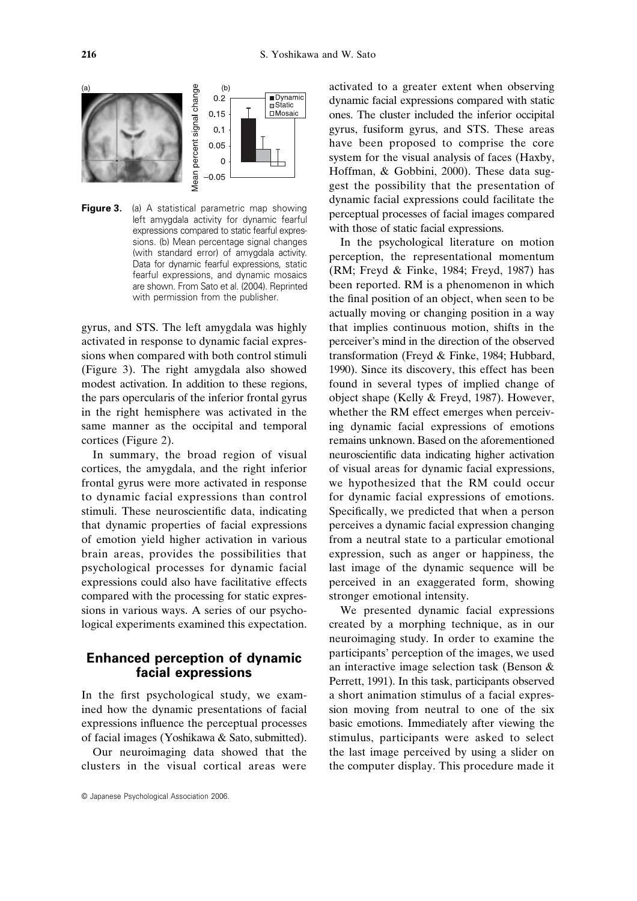

**Figure 3.** (a) A statistical parametric map showing left amygdala activity for dynamic fearful expressions compared to static fearful expressions. (b) Mean percentage signal changes (with standard error) of amygdala activity. Data for dynamic fearful expressions, static fearful expressions, and dynamic mosaics are shown. From Sato et al. (2004). Reprinted with permission from the publisher.

gyrus, and STS. The left amygdala was highly activated in response to dynamic facial expressions when compared with both control stimuli (Figure 3). The right amygdala also showed modest activation. In addition to these regions, the pars opercularis of the inferior frontal gyrus in the right hemisphere was activated in the same manner as the occipital and temporal cortices (Figure 2).

In summary, the broad region of visual cortices, the amygdala, and the right inferior frontal gyrus were more activated in response to dynamic facial expressions than control stimuli. These neuroscientific data, indicating that dynamic properties of facial expressions of emotion yield higher activation in various brain areas, provides the possibilities that psychological processes for dynamic facial expressions could also have facilitative effects compared with the processing for static expressions in various ways. A series of our psychological experiments examined this expectation.

# **Enhanced perception of dynamic facial expressions**

In the first psychological study, we examined how the dynamic presentations of facial expressions influence the perceptual processes of facial images (Yoshikawa & Sato, submitted).

Our neuroimaging data showed that the clusters in the visual cortical areas were

© Japanese Psychological Association 2006.

activated to a greater extent when observing dynamic facial expressions compared with static ones. The cluster included the inferior occipital gyrus, fusiform gyrus, and STS. These areas have been proposed to comprise the core system for the visual analysis of faces (Haxby, Hoffman, & Gobbini, 2000). These data suggest the possibility that the presentation of dynamic facial expressions could facilitate the perceptual processes of facial images compared with those of static facial expressions.

In the psychological literature on motion perception, the representational momentum (RM; Freyd & Finke, 1984; Freyd, 1987) has been reported. RM is a phenomenon in which the final position of an object, when seen to be actually moving or changing position in a way that implies continuous motion, shifts in the perceiver's mind in the direction of the observed transformation (Freyd & Finke, 1984; Hubbard, 1990). Since its discovery, this effect has been found in several types of implied change of object shape (Kelly & Freyd, 1987). However, whether the RM effect emerges when perceiving dynamic facial expressions of emotions remains unknown. Based on the aforementioned neuroscientific data indicating higher activation of visual areas for dynamic facial expressions, we hypothesized that the RM could occur for dynamic facial expressions of emotions. Specifically, we predicted that when a person perceives a dynamic facial expression changing from a neutral state to a particular emotional expression, such as anger or happiness, the last image of the dynamic sequence will be perceived in an exaggerated form, showing stronger emotional intensity.

We presented dynamic facial expressions created by a morphing technique, as in our neuroimaging study. In order to examine the participants' perception of the images, we used an interactive image selection task (Benson & Perrett, 1991). In this task, participants observed a short animation stimulus of a facial expression moving from neutral to one of the six basic emotions. Immediately after viewing the stimulus, participants were asked to select the last image perceived by using a slider on the computer display. This procedure made it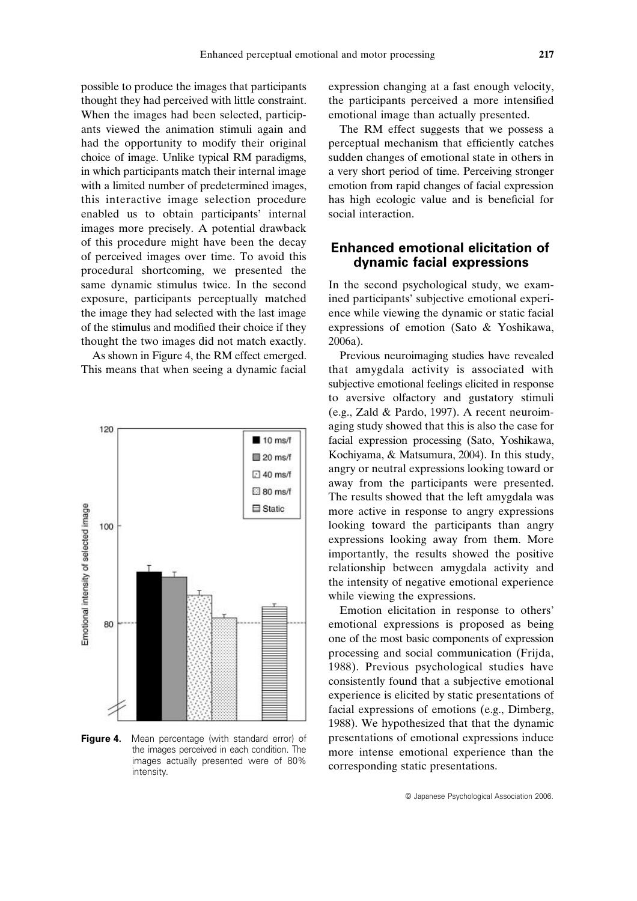possible to produce the images that participants thought they had perceived with little constraint. When the images had been selected, participants viewed the animation stimuli again and had the opportunity to modify their original choice of image. Unlike typical RM paradigms, in which participants match their internal image with a limited number of predetermined images, this interactive image selection procedure enabled us to obtain participants' internal images more precisely. A potential drawback of this procedure might have been the decay of perceived images over time. To avoid this procedural shortcoming, we presented the same dynamic stimulus twice. In the second exposure, participants perceptually matched the image they had selected with the last image of the stimulus and modified their choice if they thought the two images did not match exactly.

As shown in Figure 4, the RM effect emerged. This means that when seeing a dynamic facial



**Figure 4.** Mean percentage (with standard error) of the images perceived in each condition. The images actually presented were of 80% intensity.

expression changing at a fast enough velocity, the participants perceived a more intensified emotional image than actually presented.

The RM effect suggests that we possess a perceptual mechanism that efficiently catches sudden changes of emotional state in others in a very short period of time. Perceiving stronger emotion from rapid changes of facial expression has high ecologic value and is beneficial for social interaction.

# **Enhanced emotional elicitation of dynamic facial expressions**

In the second psychological study, we examined participants' subjective emotional experience while viewing the dynamic or static facial expressions of emotion (Sato & Yoshikawa, 2006a).

Previous neuroimaging studies have revealed that amygdala activity is associated with subjective emotional feelings elicited in response to aversive olfactory and gustatory stimuli (e.g., Zald & Pardo, 1997). A recent neuroimaging study showed that this is also the case for facial expression processing (Sato, Yoshikawa, Kochiyama, & Matsumura, 2004). In this study, angry or neutral expressions looking toward or away from the participants were presented. The results showed that the left amygdala was more active in response to angry expressions looking toward the participants than angry expressions looking away from them. More importantly, the results showed the positive relationship between amygdala activity and the intensity of negative emotional experience while viewing the expressions.

Emotion elicitation in response to others' emotional expressions is proposed as being one of the most basic components of expression processing and social communication (Frijda, 1988). Previous psychological studies have consistently found that a subjective emotional experience is elicited by static presentations of facial expressions of emotions (e.g., Dimberg, 1988). We hypothesized that that the dynamic presentations of emotional expressions induce more intense emotional experience than the corresponding static presentations.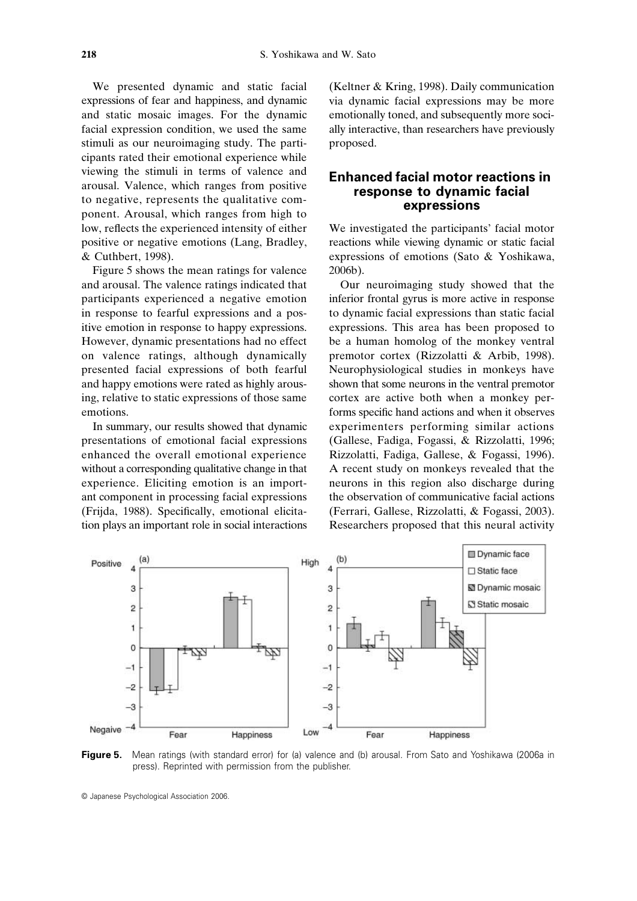We presented dynamic and static facial expressions of fear and happiness, and dynamic and static mosaic images. For the dynamic facial expression condition, we used the same stimuli as our neuroimaging study. The participants rated their emotional experience while viewing the stimuli in terms of valence and arousal. Valence, which ranges from positive to negative, represents the qualitative component. Arousal, which ranges from high to low, reflects the experienced intensity of either positive or negative emotions (Lang, Bradley, & Cuthbert, 1998).

Figure 5 shows the mean ratings for valence and arousal. The valence ratings indicated that participants experienced a negative emotion in response to fearful expressions and a positive emotion in response to happy expressions. However, dynamic presentations had no effect on valence ratings, although dynamically presented facial expressions of both fearful and happy emotions were rated as highly arousing, relative to static expressions of those same emotions.

In summary, our results showed that dynamic presentations of emotional facial expressions enhanced the overall emotional experience without a corresponding qualitative change in that experience. Eliciting emotion is an important component in processing facial expressions (Frijda, 1988). Specifically, emotional elicitation plays an important role in social interactions (Keltner & Kring, 1998). Daily communication via dynamic facial expressions may be more emotionally toned, and subsequently more socially interactive, than researchers have previously proposed.

### **Enhanced facial motor reactions in response to dynamic facial expressions**

We investigated the participants' facial motor reactions while viewing dynamic or static facial expressions of emotions (Sato & Yoshikawa, 2006b).

Our neuroimaging study showed that the inferior frontal gyrus is more active in response to dynamic facial expressions than static facial expressions. This area has been proposed to be a human homolog of the monkey ventral premotor cortex (Rizzolatti & Arbib, 1998). Neurophysiological studies in monkeys have shown that some neurons in the ventral premotor cortex are active both when a monkey performs specific hand actions and when it observes experimenters performing similar actions (Gallese, Fadiga, Fogassi, & Rizzolatti, 1996; Rizzolatti, Fadiga, Gallese, & Fogassi, 1996). A recent study on monkeys revealed that the neurons in this region also discharge during the observation of communicative facial actions (Ferrari, Gallese, Rizzolatti, & Fogassi, 2003). Researchers proposed that this neural activity



**Figure 5.** Mean ratings (with standard error) for (a) valence and (b) arousal. From Sato and Yoshikawa (2006a in press). Reprinted with permission from the publisher.

<sup>©</sup> Japanese Psychological Association 2006.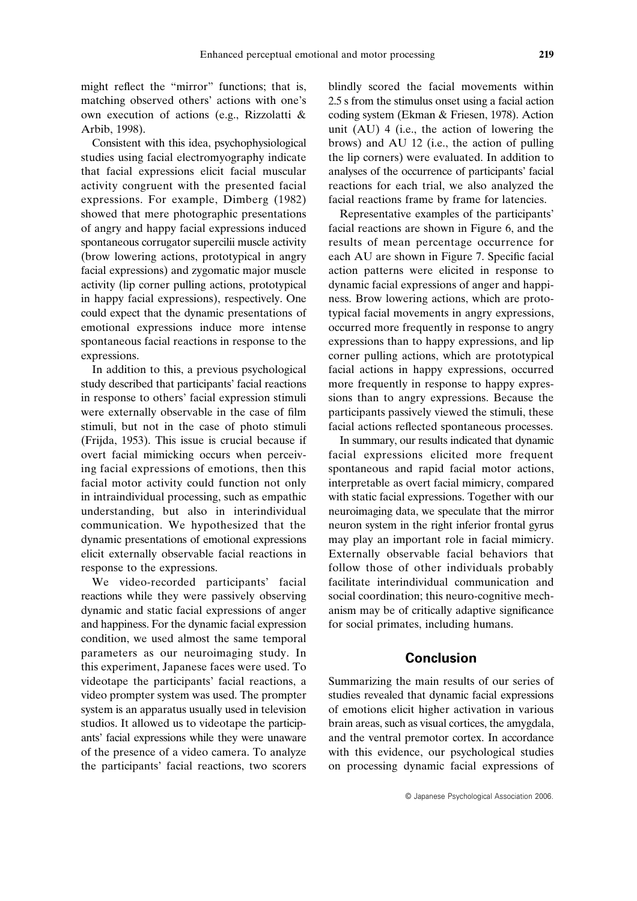might reflect the "mirror" functions; that is, matching observed others' actions with one's own execution of actions (e.g., Rizzolatti & Arbib, 1998).

Consistent with this idea, psychophysiological studies using facial electromyography indicate that facial expressions elicit facial muscular activity congruent with the presented facial expressions. For example, Dimberg (1982) showed that mere photographic presentations of angry and happy facial expressions induced spontaneous corrugator supercilii muscle activity (brow lowering actions, prototypical in angry facial expressions) and zygomatic major muscle activity (lip corner pulling actions, prototypical in happy facial expressions), respectively. One could expect that the dynamic presentations of emotional expressions induce more intense spontaneous facial reactions in response to the expressions.

In addition to this, a previous psychological study described that participants' facial reactions in response to others' facial expression stimuli were externally observable in the case of film stimuli, but not in the case of photo stimuli (Frijda, 1953). This issue is crucial because if overt facial mimicking occurs when perceiving facial expressions of emotions, then this facial motor activity could function not only in intraindividual processing, such as empathic understanding, but also in interindividual communication. We hypothesized that the dynamic presentations of emotional expressions elicit externally observable facial reactions in response to the expressions.

We video-recorded participants' facial reactions while they were passively observing dynamic and static facial expressions of anger and happiness. For the dynamic facial expression condition, we used almost the same temporal parameters as our neuroimaging study. In this experiment, Japanese faces were used. To videotape the participants' facial reactions, a video prompter system was used. The prompter system is an apparatus usually used in television studios. It allowed us to videotape the participants' facial expressions while they were unaware of the presence of a video camera. To analyze the participants' facial reactions, two scorers blindly scored the facial movements within 2.5 s from the stimulus onset using a facial action coding system (Ekman & Friesen, 1978). Action unit (AU) 4 (i.e., the action of lowering the brows) and AU 12 (i.e., the action of pulling the lip corners) were evaluated. In addition to analyses of the occurrence of participants' facial reactions for each trial, we also analyzed the facial reactions frame by frame for latencies.

Representative examples of the participants' facial reactions are shown in Figure 6, and the results of mean percentage occurrence for each AU are shown in Figure 7. Specific facial action patterns were elicited in response to dynamic facial expressions of anger and happiness. Brow lowering actions, which are prototypical facial movements in angry expressions, occurred more frequently in response to angry expressions than to happy expressions, and lip corner pulling actions, which are prototypical facial actions in happy expressions, occurred more frequently in response to happy expressions than to angry expressions. Because the participants passively viewed the stimuli, these facial actions reflected spontaneous processes.

In summary, our results indicated that dynamic facial expressions elicited more frequent spontaneous and rapid facial motor actions, interpretable as overt facial mimicry, compared with static facial expressions. Together with our neuroimaging data, we speculate that the mirror neuron system in the right inferior frontal gyrus may play an important role in facial mimicry. Externally observable facial behaviors that follow those of other individuals probably facilitate interindividual communication and social coordination; this neuro-cognitive mechanism may be of critically adaptive significance for social primates, including humans.

# **Conclusion**

Summarizing the main results of our series of studies revealed that dynamic facial expressions of emotions elicit higher activation in various brain areas, such as visual cortices, the amygdala, and the ventral premotor cortex. In accordance with this evidence, our psychological studies on processing dynamic facial expressions of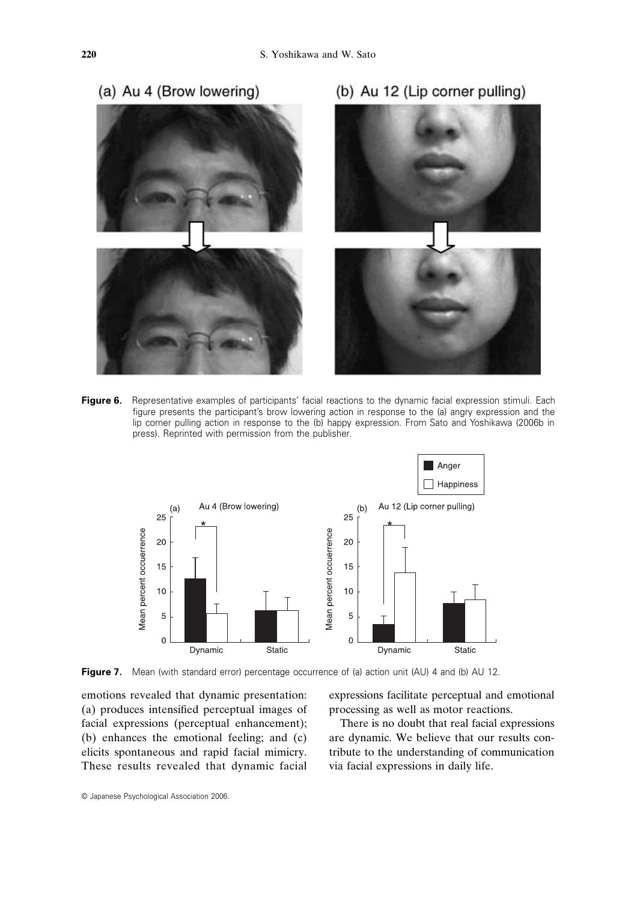

**Figure 6.** Representative examples of participants' facial reactions to the dynamic facial expression stimuli. Each figure presents the participant's brow lowering action in response to the (a) angry expression and the lip corner pulling action in response to the (b) happy expression. From Sato and Yoshikawa (2006b in press). Reprinted with permission from the publisher.



**Figure 7.** Mean (with standard error) percentage occurrence of (a) action unit (AU) 4 and (b) AU 12.

emotions revealed that dynamic presentation: (a) produces intensified perceptual images of facial expressions (perceptual enhancement); (b) enhances the emotional feeling; and (c) elicits spontaneous and rapid facial mimicry. These results revealed that dynamic facial expressions facilitate perceptual and emotional processing as well as motor reactions.

There is no doubt that real facial expressions are dynamic. We believe that our results contribute to the understanding of communication via facial expressions in daily life.

© Japanese Psychological Association 2006.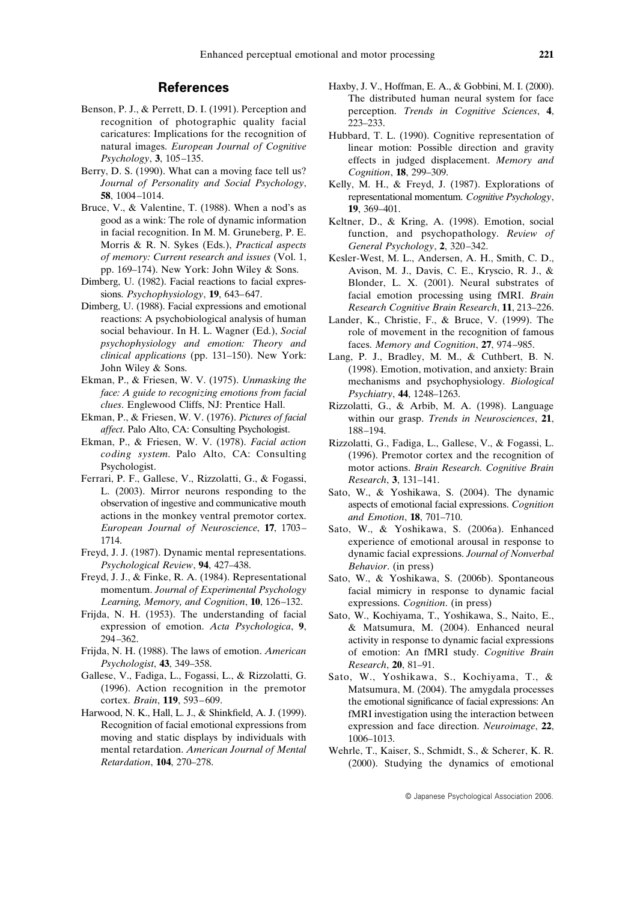#### **References**

- Benson, P. J., & Perrett, D. I. (1991). Perception and recognition of photographic quality facial caricatures: Implications for the recognition of natural images. *European Journal of Cognitive Psychology*, **3**, 105–135.
- Berry, D. S. (1990). What can a moving face tell us? *Journal of Personality and Social Psychology*, **58**, 1004–1014.
- Bruce, V., & Valentine, T. (1988). When a nod's as good as a wink: The role of dynamic information in facial recognition. In M. M. Gruneberg, P. E. Morris & R. N. Sykes (Eds.), *Practical aspects of memory: Current research and issues* (Vol. 1, pp. 169–174). New York: John Wiley & Sons.
- Dimberg, U. (1982). Facial reactions to facial expressions. *Psychophysiology*, **19**, 643–647.
- Dimberg, U. (1988). Facial expressions and emotional reactions: A psychobiological analysis of human social behaviour. In H. L. Wagner (Ed.), *Social psychophysiology and emotion: Theory and clinical applications* (pp. 131–150). New York: John Wiley & Sons.
- Ekman, P., & Friesen, W. V. (1975). *Unmasking the face: A guide to recognizing emotions from facial clues*. Englewood Cliffs, NJ: Prentice Hall.
- Ekman, P., & Friesen, W. V. (1976). *Pictures of facial affect*. Palo Alto, CA: Consulting Psychologist.
- Ekman, P., & Friesen, W. V. (1978). *Facial action coding system*. Palo Alto, CA: Consulting Psychologist.
- Ferrari, P. F., Gallese, V., Rizzolatti, G., & Fogassi, L. (2003). Mirror neurons responding to the observation of ingestive and communicative mouth actions in the monkey ventral premotor cortex. *European Journal of Neuroscience*, **17**, 1703– 1714.
- Freyd, J. J. (1987). Dynamic mental representations. *Psychological Review*, **94**, 427–438.
- Freyd, J. J., & Finke, R. A. (1984). Representational momentum. *Journal of Experimental Psychology Learning, Memory, and Cognition*, **10**, 126–132.
- Frijda, N. H. (1953). The understanding of facial expression of emotion. *Acta Psychologica*, **9**, 294–362.
- Frijda, N. H. (1988). The laws of emotion. *American Psychologist*, **43**, 349–358.
- Gallese, V., Fadiga, L., Fogassi, L., & Rizzolatti, G. (1996). Action recognition in the premotor cortex. *Brain*, **119**, 593–609.
- Harwood, N. K., Hall, L. J., & Shinkfield, A. J. (1999). Recognition of facial emotional expressions from moving and static displays by individuals with mental retardation. *American Journal of Mental Retardation*, **104**, 270–278.
- Haxby, J. V., Hoffman, E. A., & Gobbini, M. I. (2000). The distributed human neural system for face perception. *Trends in Cognitive Sciences*, **4**, 223–233.
- Hubbard, T. L. (1990). Cognitive representation of linear motion: Possible direction and gravity effects in judged displacement. *Memory and Cognition*, **18**, 299–309.
- Kelly, M. H., & Freyd, J. (1987). Explorations of representational momentum. *Cognitive Psychology*, **19**, 369–401.
- Keltner, D., & Kring, A. (1998). Emotion, social function, and psychopathology. *Review of General Psychology*, **2**, 320–342.
- Kesler-West, M. L., Andersen, A. H., Smith, C. D., Avison, M. J., Davis, C. E., Kryscio, R. J., & Blonder, L. X. (2001). Neural substrates of facial emotion processing using fMRI. *Brain Research Cognitive Brain Research*, **11**, 213–226.
- Lander, K., Christie, F., & Bruce, V. (1999). The role of movement in the recognition of famous faces. *Memory and Cognition*, **27**, 974–985.
- Lang, P. J., Bradley, M. M., & Cuthbert, B. N. (1998). Emotion, motivation, and anxiety: Brain mechanisms and psychophysiology. *Biological Psychiatry*, **44**, 1248–1263.
- Rizzolatti, G., & Arbib, M. A. (1998). Language within our grasp. *Trends in Neurosciences*, **21**, 188–194.
- Rizzolatti, G., Fadiga, L., Gallese, V., & Fogassi, L. (1996). Premotor cortex and the recognition of motor actions. *Brain Research. Cognitive Brain Research*, **3**, 131–141.
- Sato, W., & Yoshikawa, S. (2004). The dynamic aspects of emotional facial expressions. *Cognition and Emotion*, **18**, 701–710.
- Sato, W., & Yoshikawa, S. (2006a). Enhanced experience of emotional arousal in response to dynamic facial expressions. *Journal of Nonverbal Behavior*. (in press)
- Sato, W., & Yoshikawa, S. (2006b). Spontaneous facial mimicry in response to dynamic facial expressions. *Cognition*. (in press)
- Sato, W., Kochiyama, T., Yoshikawa, S., Naito, E., & Matsumura, M. (2004). Enhanced neural activity in response to dynamic facial expressions of emotion: An fMRI study. *Cognitive Brain Research*, **20**, 81–91.
- Sato, W., Yoshikawa, S., Kochiyama, T., & Matsumura, M. (2004). The amygdala processes the emotional significance of facial expressions: An fMRI investigation using the interaction between expression and face direction. *Neuroimage*, **22**, 1006–1013.
- Wehrle, T., Kaiser, S., Schmidt, S., & Scherer, K. R. (2000). Studying the dynamics of emotional

© Japanese Psychological Association 2006.